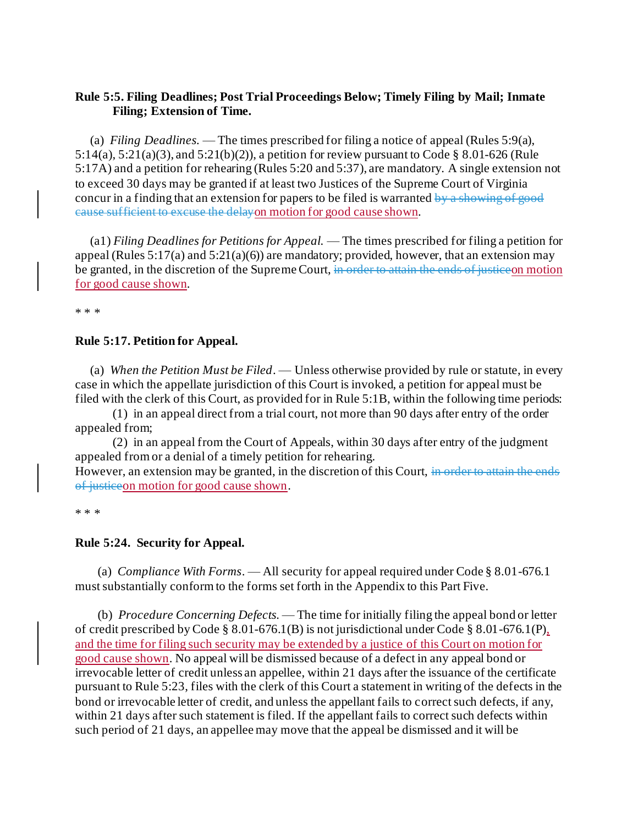# **Rule 5:5. Filing Deadlines; Post Trial Proceedings Below; Timely Filing by Mail; Inmate Filing; Extension of Time.**

(a) *Filing Deadlines.* — The times prescribed for filing a notice of appeal (Rules 5:9(a), 5:14(a), 5:21(a)(3), and 5:21(b)(2)), a petition for review pursuant to Code [§ 8.01-626](https://law.lis.virginia.gov/vacode/8.01-626/) (Rule 5:17A) and a petition for rehearing (Rules 5:20 and 5:37), are mandatory. A single extension not to exceed 30 days may be granted if at least two Justices of the Supreme Court of Virginia concur in a finding that an extension for papers to be filed is warranted by a showing of good cause sufficient to excuse the delayon motion for good cause shown.

(a1) *Filing Deadlines for Petitions for Appeal.* — The times prescribed for filing a petition for appeal (Rules  $5:17(a)$  and  $5:21(a)(6)$ ) are mandatory; provided, however, that an extension may be granted, in the discretion of the Supreme Court, in order to attain the ends of justice on motion for good cause shown.

\* \* \*

### **Rule 5:17. Petition for Appeal.**

(a) *When the Petition Must be Filed*. — Unless otherwise provided by rule or statute, in every case in which the appellate jurisdiction of this Court is invoked, a petition for appeal must be filed with the clerk of this Court, as provided for in Rule 5:1B, within the following time periods:

(1) in an appeal direct from a trial court, not more than 90 days after entry of the order appealed from;

(2) in an appeal from the Court of Appeals, within 30 days after entry of the judgment appealed from or a denial of a timely petition for rehearing.

However, an extension may be granted, in the discretion of this Court, in order to attain the ends of justiceon motion for good cause shown.

\* \* \*

#### **Rule 5:24. Security for Appeal.**

(a) *Compliance With Forms*. — All security for appeal required under Code § 8.01-676.1 must substantially conform to the forms set forth in the Appendix to this Part Five.

(b) *Procedure Concerning Defects.* — The time for initially filing the appeal bond or letter of credit prescribed by Code § 8.01-676.1(B) is not jurisdictional under Code § 8.01-676.1(P), and the time for filing such security may be extended by a justice of this Court on motion for good cause shown. No appeal will be dismissed because of a defect in any appeal bond or irrevocable letter of credit unless an appellee, within 21 days after the issuance of the certificate pursuant to Rule 5:23, files with the clerk of this Court a statement in writing of the defects in the bond or irrevocable letter of credit, and unless the appellant fails to correct such defects, if any, within 21 days after such statement is filed. If the appellant fails to correct such defects within such period of 21 days, an appellee may move that the appeal be dismissed and it will be